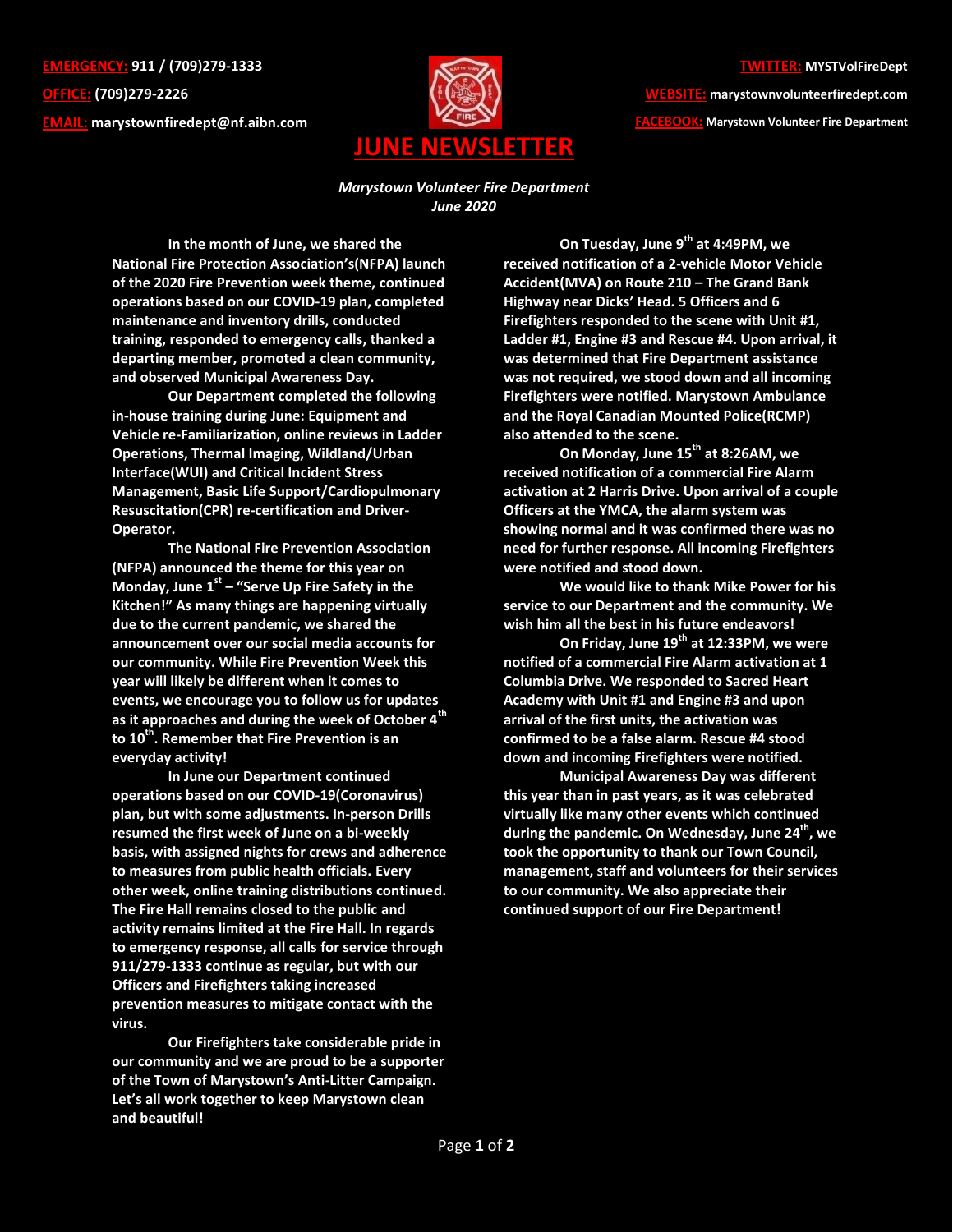**EMERGENCY: 911 / (709)279-1333 OFFICE: (709)279-2226 EMAIL: [marystownfiredept@nf.aibn.com](mailto:marystownfiredept@nf.aibn.com)**



**WEBSITE: marystownvolunteerfiredept.com FACEBOOK: Marystown Volunteer Fire Department**

*Marystown Volunteer Fire Department June 2020*

**In the month of June, we shared the National Fire Protection Association's(NFPA) launch of the 2020 Fire Prevention week theme, continued operations based on our COVID-19 plan, completed maintenance and inventory drills, conducted training, responded to emergency calls, thanked a departing member, promoted a clean community, and observed Municipal Awareness Day.**

**Our Department completed the following in-house training during June: Equipment and Vehicle re-Familiarization, online reviews in Ladder Operations, Thermal Imaging, Wildland/Urban Interface(WUI) and Critical Incident Stress Management, Basic Life Support/Cardiopulmonary Resuscitation(CPR) re-certification and Driver-Operator.**

**The National Fire Prevention Association (NFPA) announced the theme for this year on Monday, June 1st – "Serve Up Fire Safety in the Kitchen!" As many things are happening virtually due to the current pandemic, we shared the announcement over our social media accounts for our community. While Fire Prevention Week this year will likely be different when it comes to events, we encourage you to follow us for updates as it approaches and during the week of October 4th to 10th. Remember that Fire Prevention is an everyday activity!**

**In June our Department continued operations based on our COVID-19(Coronavirus) plan, but with some adjustments. In-person Drills resumed the first week of June on a bi-weekly basis, with assigned nights for crews and adherence to measures from public health officials. Every other week, online training distributions continued. The Fire Hall remains closed to the public and activity remains limited at the Fire Hall. In regards to emergency response, all calls for service through 911/279-1333 continue as regular, but with our Officers and Firefighters taking increased prevention measures to mitigate contact with the virus.** 

**Our Firefighters take considerable pride in our community and we are proud to be a supporter of the Town of Marystown's Anti-Litter Campaign. Let's all work together to keep Marystown clean and beautiful!**

**On Tuesday, June 9th at 4:49PM, we received notification of a 2-vehicle Motor Vehicle Accident(MVA) on Route 210 – The Grand Bank Highway near Dicks' Head. 5 Officers and 6 Firefighters responded to the scene with Unit #1, Ladder #1, Engine #3 and Rescue #4. Upon arrival, it was determined that Fire Department assistance was not required, we stood down and all incoming Firefighters were notified. Marystown Ambulance and the Royal Canadian Mounted Police(RCMP) also attended to the scene.** 

**On Monday, June 15th at 8:26AM, we received notification of a commercial Fire Alarm activation at 2 Harris Drive. Upon arrival of a couple Officers at the YMCA, the alarm system was showing normal and it was confirmed there was no need for further response. All incoming Firefighters were notified and stood down.** 

**We would like to thank Mike Power for his service to our Department and the community. We wish him all the best in his future endeavors!**

**On Friday, June 19th at 12:33PM, we were notified of a commercial Fire Alarm activation at 1 Columbia Drive. We responded to Sacred Heart Academy with Unit #1 and Engine #3 and upon arrival of the first units, the activation was confirmed to be a false alarm. Rescue #4 stood down and incoming Firefighters were notified.**

**Municipal Awareness Day was different this year than in past years, as it was celebrated virtually like many other events which continued during the pandemic. On Wednesday, June 24 th , we took the opportunity to thank our Town Council, management, staff and volunteers for their services to our community. We also appreciate their continued support of our Fire Department!**